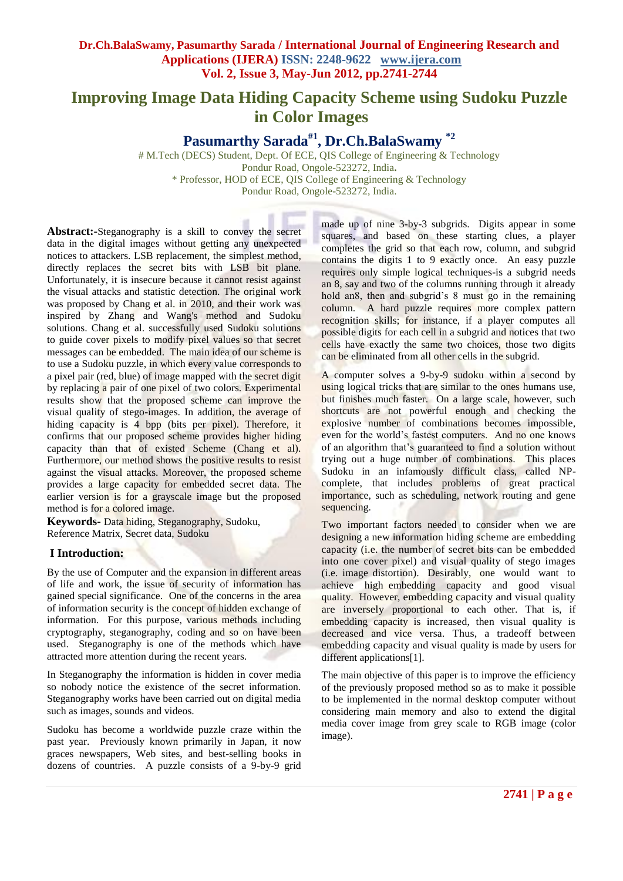# **Improving Image Data Hiding Capacity Scheme using Sudoku Puzzle in Color Images**

**Pasumarthy Sarada#1 , Dr.Ch.BalaSwamy \*2**

# M.Tech (DECS) Student, Dept. Of ECE, QIS College of Engineering & Technology Pondur Road, Ongole-523272, India**.** \* Professor, HOD of ECE, QIS College of Engineering & Technology Pondur Road, Ongole-523272, India.

**Abstract:-**Steganography is a skill to convey the secret data in the digital images without getting any unexpected notices to attackers. LSB replacement, the simplest method, directly replaces the secret bits with LSB bit plane. Unfortunately, it is insecure because it cannot resist against the visual attacks and statistic detection. The original work was proposed by Chang et al. in 2010, and their work was inspired by Zhang and Wang's method and Sudoku solutions. Chang et al. successfully used Sudoku solutions to guide cover pixels to modify pixel values so that secret messages can be embedded. The main idea of our scheme is to use a Sudoku puzzle, in which every value corresponds to a pixel pair (red, blue) of image mapped with the secret digit by replacing a pair of one pixel of two colors. Experimental results show that the proposed scheme can improve the visual quality of stego-images. In addition, the average of hiding capacity is 4 bpp (bits per pixel). Therefore, it confirms that our proposed scheme provides higher hiding capacity than that of existed Scheme (Chang et al). Furthermore, our method shows the positive results to resist against the visual attacks. Moreover, the proposed scheme provides a large capacity for embedded secret data. The earlier version is for a grayscale image but the proposed method is for a colored image.

**Keywords-** Data hiding, Steganography, Sudoku, Reference Matrix, Secret data, Sudoku

# **I Introduction:**

By the use of Computer and the expansion in different areas of life and work, the issue of security of information has gained special significance. One of the concerns in the area of information security is the concept of hidden exchange of information. For this purpose, various methods including cryptography, steganography, coding and so on have been used. Steganography is one of the methods which have attracted more attention during the recent years.

In Steganography the information is hidden in cover media so nobody notice the existence of the secret information. Steganography works have been carried out on digital media such as images, sounds and videos.

Sudoku has become a worldwide puzzle craze within the past year. Previously known primarily in Japan, it now graces newspapers, Web sites, and best-selling books in dozens of countries. A puzzle consists of a 9-by-9 grid

made up of nine 3-by-3 subgrids. Digits appear in some squares, and based on these starting clues, a player completes the grid so that each row, column, and subgrid contains the digits 1 to 9 exactly once. An easy puzzle requires only simple logical techniques-is a subgrid needs an 8, say and two of the columns running through it already hold an8, then and subgrid's 8 must go in the remaining column. A hard puzzle requires more complex pattern recognition skills; for instance, if a player computes all possible digits for each cell in a subgrid and notices that two cells have exactly the same two choices, those two digits can be eliminated from all other cells in the subgrid.

A computer solves a 9-by-9 sudoku within a second by using logical tricks that are similar to the ones humans use, but finishes much faster. On a large scale, however, such shortcuts are not powerful enough and checking the explosive number of combinations becomes impossible, even for the world's fastest computers. And no one knows of an algorithm that's guaranteed to find a solution without trying out a huge number of combinations. This places Sudoku in an infamously difficult class, called NPcomplete, that includes problems of great practical importance, such as scheduling, network routing and gene sequencing.

Two important factors needed to consider when we are designing a new information hiding scheme are embedding capacity (i.e. the number of secret bits can be embedded into one cover pixel) and visual quality of stego images (i.e. image distortion). Desirably, one would want to achieve high embedding capacity and good visual quality. However, embedding capacity and visual quality are inversely proportional to each other. That is, if embedding capacity is increased, then visual quality is decreased and vice versa. Thus, a tradeoff between embedding capacity and visual quality is made by users for different applications[1].

The main objective of this paper is to improve the efficiency of the previously proposed method so as to make it possible to be implemented in the normal desktop computer without considering main memory and also to extend the digital media cover image from grey scale to RGB image (color image).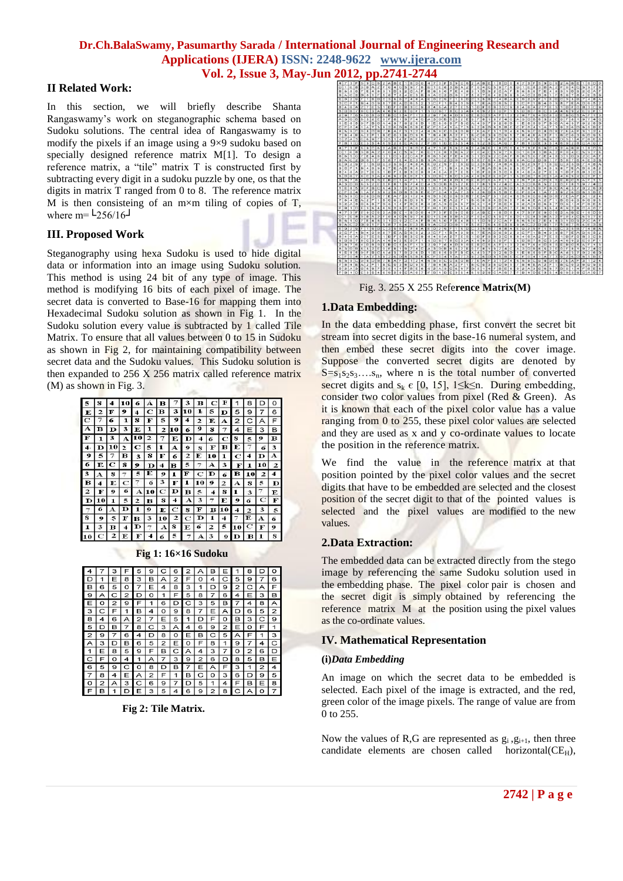# **II Related Work:**

In this section, we will briefly describe Shanta Rangaswamy's work on steganographic schema based on Sudoku solutions. The central idea of Rangaswamy is to modify the pixels if an image using a 9×9 sudoku based on specially designed reference matrix M[1]. To design a reference matrix, a "tile" matrix T is constructed first by subtracting every digit in a sudoku puzzle by one, os that the digits in matrix T ranged from 0 to 8. The reference matrix M is then consisteing of an  $m \times m$  tiling of copies of T, where m=  $L$ 256/16<sup> $\Box$ </sup>

# **III. Proposed Work**

Steganography using hexa Sudoku is used to hide digital data or information into an image using Sudoku solution. This method is using 24 bit of any type of image. This method is modifying 16 bits of each pixel of image. The secret data is converted to Base-16 for mapping them into Hexadecimal Sudoku solution as shown in Fig 1. In the Sudoku solution every value is subtracted by 1 called Tile Matrix. To ensure that all values between 0 to 15 in Sudoku as shown in Fig 2, for maintaining compatibility between secret data and the Sudoku values. This Sudoku solution is then expanded to 256 X 256 matrix called reference matrix (M) as shown in Fig. 3.



**Fig 1: 16×16 Sudoku**

| 4              |                | 3 | F              | 5                       | 9 |                | 6              | 2 | А              | в | Ε | 1 | 8 |                | о |
|----------------|----------------|---|----------------|-------------------------|---|----------------|----------------|---|----------------|---|---|---|---|----------------|---|
| D              | 1              | Ε | 8              | з                       | в | А              | $\overline{2}$ | F | o              | 4 | С | 5 | 9 | 7              | 6 |
| в              | 6              | 5 | o              | 7                       | Ε | 4              | 8              | з | 1              | D | 9 | 2 | C | А              | F |
| 9              | А              | с | $\overline{2}$ | D                       | o | 1              | F              | 5 | 8              | 7 | 6 | 4 | E | 3              | в |
| Ε              | o              | 2 | 9              | F                       | 1 | 6              | ◻              |   | з              | 5 | в | 7 | 4 | 8              | А |
| 3              | C              | F | 1              | в                       | 4 | O              | 9              | 8 | 7              | Ε | А | D | 6 | 5              | 2 |
| 8              | 4              | 6 | А              | $\overline{\mathbf{c}}$ | 7 | Ε              | 5              | 1 | D              | F | о | в | 3 | C              | 9 |
| 5              | D              | в | 7              | 8                       |   | 3              | д              | 4 | 6              | 9 | 2 | Е | O | F              | 1 |
| $\overline{2}$ | 9              | 7 | 6              | 4                       | D | 8              | o              | Ε | в              |   | 5 | А | F | 1              | з |
| А              | з              | D | B              | 6                       | 5 | $\overline{2}$ | Ε              | o | F              | 8 | 1 | 9 | 7 | 4              | С |
| 1              | Ε              | 8 | 5              | 9                       | F | в              | с              | А | 4              | з | 7 | o | 2 | 6              | D |
| C              | F              | o | 4              | 1                       | А | 7              | 3              | 9 | $\overline{2}$ | 6 | ◻ | 8 | 5 | в              | Ε |
| 6              | 5              | 9 | С              | o                       | 8 | D              | в              |   | Ε              | А | F | з | 1 | $\overline{2}$ | 4 |
| 7              | 8              | 4 | Ε              | Α                       | 2 | F              | 1              | в | С              | o | з | 6 | D | 9              | 5 |
| o              | $\overline{2}$ | А | 3              | C                       | 6 | 9              | 7              | D | 5              | 1 | 4 | F | в | Ε              | 8 |
| F              | в              | 1 | n              | F                       | 3 | 5              | 4              | 6 | 9              | 2 | 8 | C | д | O              |   |

**Fig 2: Tile Matrix.**



Fig. 3. 255 X 255 Refe**rence Matrix(M)**

# **1.Data Embedding:**

In the data embedding phase, first convert the secret bit stream into secret digits in the base-16 numeral system, and then embed these secret digits into the cover image. Suppose the converted secret digits are denoted by  $S=s_1s_2s_3...s_n$ , where n is the total number of converted secret digits and  $s_k \in [0, 15]$ ,  $1 \le k \le n$ . During embedding, consider two color values from pixel (Red & Green). As it is known that each of the pixel color value has a value ranging from 0 to 255, these pixel color values are selected and they are used as x and y co-ordinate values to locate the position in the reference matrix.

We find the value in the reference matrix at that position pointed by the pixel color values and the secret digits that have to be embedded are selected and the closest position of the secret digit to that of the pointed values is selected and the pixel values are modified to the new values.

# **2.Data Extraction:**

The embedded data can be extracted directly from the stego image by referencing the same Sudoku solution used in the embedding phase. The pixel color pair is chosen and the secret digit is simply obtained by referencing the reference matrix M at the position using the pixel values as the co-ordinate values.

### **IV. Mathematical Representation**

### **(i)***Data Embedding*

An image on which the secret data to be embedded is selected. Each pixel of the image is extracted, and the red, green color of the image pixels. The range of value are from 0 to 255.

Now the values of R,G are represented as  $g_i$ ,  $g_{i+1}$ , then three candidate elements are chosen called horizontal( $CE_H$ ),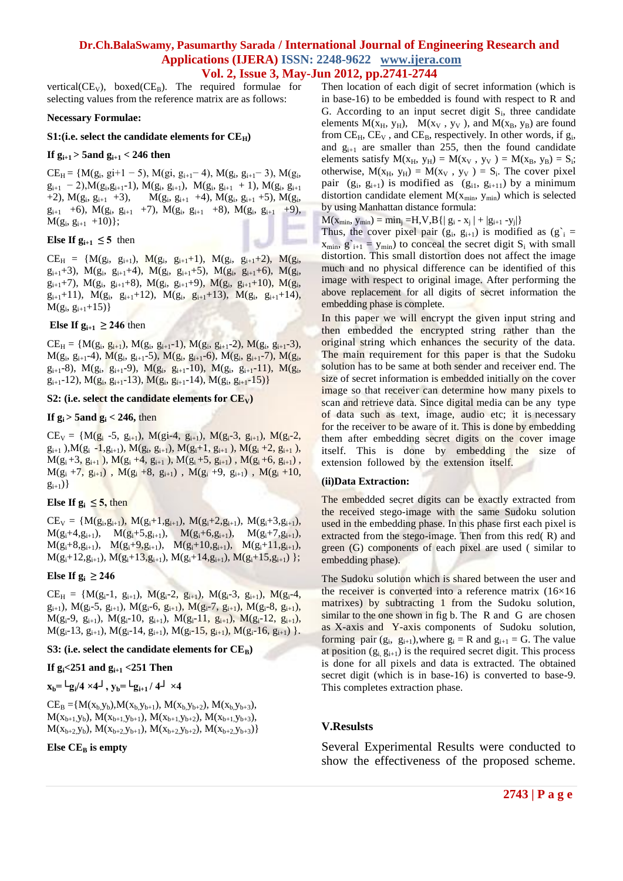vertical( $CE_V$ ), boxed( $CE_B$ ). The required formulae for selecting values from the reference matrix are as follows:

#### **Necessary Formulae:**

#### S1:(i.e. select the candidate elements for  $CE_H$ )

#### **If gi+1 > 5and gi+1 < 246 then**

 $CE_H = \{M(g_i, gi+1-5), M(g_i, g_{i+1}-4), M(g_i, g_{i+1}-3), M(g_i,$  $g_{i+1}$  - 2), $M(g_i, g_{i+1}-1)$ ,  $M(g_i, g_{i+1})$ ,  $M(g_i, g_{i+1} + 1)$ ,  $M(g_i, g_{i+1})$ +2),  $M(g_i, g_{i+1} +3)$ ,  $M(g_i, g_{i+1} +4)$ ,  $M(g_i, g_{i+1} +5)$ ,  $M(g_i,$  $g_{i+1}$  +6),  $M(g_i, g_{i+1}$  +7),  $M(g_i, g_{i+1}$  +8),  $M(g_i, g_{i+1}$  +9),  $M(g_i, g_{i+1} +10)$ ;

### **Else If**  $g_{i+1} \leq 5$  **then**

 $CE_H = \{M(g_i, g_{i+1}), M(g_i, g_{i+1}+1), M(g_i, g_{i+1}+2), M(g_i,$  $g_{i+1}+3$ , M( $g_i$ ,  $g_{i+1}+4$ ), M( $g_i$ ,  $g_{i+1}+5$ ), M( $g_i$ ,  $g_{i+1}+6$ ), M( $g_i$ ,  $g_{i+1}$ +7), M( $g_i$ ,  $g_{i+1}$ +8), M( $g_i$ ,  $g_{i+1}$ +9), M( $g_i$ ,  $g_{i+1}$ +10), M( $g_i$ ,  $g_{i+1}+11$ ,  $M(g_i, g_{i+1}+12)$ ,  $M(g_i, g_{i+1}+13)$ ,  $M(g_i, g_{i+1}+14)$ ,  $M(g_i, g_{i+1}+15)$ 

#### **Else If**  $g_{i+1} \geq 246$  **then**

 $CE_H = \{M(g_i, g_{i+1}), M(g_i, g_{i+1}-1), M(g_i, g_{i+1}-2), M(g_i, g_{i+1}-3),\}$  $M(g_i, g_{i+1}-4), M(g_i, g_{i+1}-5), M(g_i, g_{i+1}-6), M(g_i, g_{i+1}-7), M(g_i,$  $g_{i+1}-8$ ),  $M(g_i, g_{i+1}-9)$ ,  $M(g_i, g_{i+1}-10)$ ,  $M(g_i, g_{i+1}-11)$ ,  $M(g_i, g_{i+1}-11)$  $g_{i+1}$ -12), M( $g_i$ ,  $g_{i+1}$ -13), M( $g_i$ ,  $g_{i+1}$ -14), M( $g_i$ ,  $g_{i+1}$ -15)}

#### **S2:** (i.e. select the candidate elements for  $CE_V$ )

### **If**  $g_i > 5$  and  $g_i < 246$ , then

 $CE_V = {M(g_i - 5, g_{i+1}), M(g_i - 4, g_{i+1}), M(g_i - 3, g_{i+1}), M(g_i - 2, g_{i+1})}$  $g_{i+1}$ ), $M(g_i -1, g_{i+1}), M(g_i, g_{i+1}), M(g_i+1, g_{i+1}), M(g_i+2, g_{i+1}),$  $M(g_i+3, g_{i+1}), M(g_i+4, g_{i+1}), M(g_i+5, g_{i+1}), M(g_i+6, g_{i+1}),$  $M(g_i +7, g_{i+1}), M(g_i +8, g_{i+1}), M(g_i +9, g_{i+1}), M(g_i +10,$  $g_{i+1})\}$ 

### **Else** If  $g_i \leq 5$ , then

 $CE_V = \{M(g_i, g_{i+1}), M(g_i+1, g_{i+1}), M(g_i+2, g_{i+1}), M(g_i+3, g_{i+1}),$  $M(g_i+4, g_{i+1}), \quad M(g_i+5, g_{i+1}), \quad M(g_i+6, g_{i+1}), \quad M(g_i+7, g_{i+1}),$  $M(g_i+8,g_{i+1}), M(g_i+9,g_{i+1}), M(g_i+10,g_{i+1}), M(g_i+11,g_{i+1}),$  $M(g_i+12,g_{i+1}), M(g_i+13,g_{i+1}), M(g_i+14,g_{i+1}), M(g_i+15,g_{i+1})$  };

# **Else** If  $g_i \ge 246$

 $CE_H = \{M(g_i-1, g_{i+1}), M(g_i-2, g_{i+1}), M(g_i-3, g_{i+1}), M(g_i-4, g_{i+1}), M(g_i-5, g_{i+1}), M(g_i-6, g_{i+1}), M(g_i-7, g_{i+1}), M(g_i-8, g_{i+1}), M(g_i-7, g_{i+1}), M(g_i-8, g_{i+1}), M(g_i-8, g_{i+1}), M(g_i-8, g_{i+1}), M(g_i-9, g_{i+1}), M(g_i-1, g_{i+1}), M(g_i-1, g_{i+1}), M(g_i-1, g_{i+1}), M(g_i-1, g_{i+1}), M(g_i-1, g_{i+1$  $g_{i+1}$ ), M( $g_i$ -5,  $g_{i+1}$ ), M( $g_i$ -6,  $g_{i+1}$ ), M( $g_i$ -7,  $g_{i+1}$ ), M( $g_i$ -8,  $g_{i+1}$ ),  $M(g_i-9, g_{i+1}), M(g_i-10, g_{i+1}), M(g_i-11, g_{i+1}), M(g_i-12, g_{i+1}),$  $M(g_i-13, g_{i+1}), M(g_i-14, g_{i+1}), M(g_i-15, g_{i+1}), M(g_i-16, g_{i+1})$ .

#### **S3:** (i.e. select the candidate elements for  $CE_B$ )

### **If gi<251 and gi+1 <251 Then**

 $\mathbf{x}_{\mathbf{b}} = \mathsf{L}\mathbf{g}_{\mathbf{i}}/4 \times 4\mathsf{L}$ ,  $\mathbf{y}_{\mathbf{b}} = \mathsf{L}\mathbf{g}_{\mathbf{i}+1}/4\mathsf{L} \times 4$ 

 $CE_B = \{M(x_b, y_b), M(x_b, y_{b+1}), M(x_b, y_{b+2}), M(x_b, y_{b+3}),$  $M(x_{b+1},y_b), M(x_{b+1},y_{b+1}), M(x_{b+1},y_{b+2}), M(x_{b+1},y_{b+3}),$  $M(x_{b+2},y_b), M(x_{b+2},y_{b+1}), M(x_{b+2},y_{b+2}), M(x_{b+2},y_{b+3})\}$ 

#### **Else CE<sub>B</sub> is empty**

Then location of each digit of secret information (which is in base-16) to be embedded is found with respect to R and G. According to an input secret digit  $S_i$ , three candidate elements  $M(x_H, y_H)$ ,  $M(x_V, y_V)$ , and  $M(x_B, y_B)$  are found from  $CE_H$ ,  $CE_V$ , and  $CE_B$ , respectively. In other words, if  $g_i$ , and  $g_{i+1}$  are smaller than 255, then the found candidate elements satisfy  $M(x_H, y_H) = M(x_V, y_V) = M(x_B, y_B) = S_i;$ otherwise,  $M(x_H, y_H) = M(x_V, y_V) = S_i$ . The cover pixel pair  $(g_i, g_{i+1})$  is modified as  $(g_{i1}, g_{i+1})$  by a minimum distortion candidate element  $M(x_{min}, y_{min})$  which is selected by using Manhattan distance formula:

 $M(x_{min}, y_{min}) = min_j = H, V, B { | g_i - x_j | + |g_{i+1} - y_j | }$ 

Thus, the cover pixel pair  $(g_i, g_{i+1})$  is modified as  $(g_i)$  =  $x_{\text{min}}$ ,  $g'_{i+1} = y_{\text{min}}$ ) to conceal the secret digit  $S_i$  with small distortion. This small distortion does not affect the image much and no physical difference can be identified of this image with respect to original image. After performing the above replacement for all digits of secret information the embedding phase is complete.

In this paper we will encrypt the given input string and then embedded the encrypted string rather than the original string which enhances the security of the data. The main requirement for this paper is that the Sudoku solution has to be same at both sender and receiver end. The size of secret information is embedded initially on the cover image so that receiver can determine how many pixels to scan and retrieve data. Since digital media can be any type of data such as text, image, audio etc; it is necessary for the receiver to be aware of it. This is done by embedding them after embedding secret digits on the cover image itself. This is done by embedding the size of extension followed by the extension itself.

### **(ii)Data Extraction:**

The embedded secret digits can be exactly extracted from the received stego-image with the same Sudoku solution used in the embedding phase. In this phase first each pixel is extracted from the stego-image. Then from this red(R) and green (G) components of each pixel are used ( similar to embedding phase).

The Sudoku solution which is shared between the user and the receiver is converted into a reference matrix  $(16\times16)$ matrixes) by subtracting 1 from the Sudoku solution, similar to the one shown in fig b. The R and G are chosen as X-axis and Y-axis components of Sudoku solution, forming pair  $(g_i, g_{i+1})$ , where  $g_i = R$  and  $g_{i+1} = G$ . The value at position  $(g_i, g_{i+1})$  is the required secret digit. This process is done for all pixels and data is extracted. The obtained secret digit (which is in base-16) is converted to base-9. This completes extraction phase.

### **V.Resulsts**

Several Experimental Results were conducted to show the effectiveness of the proposed scheme.